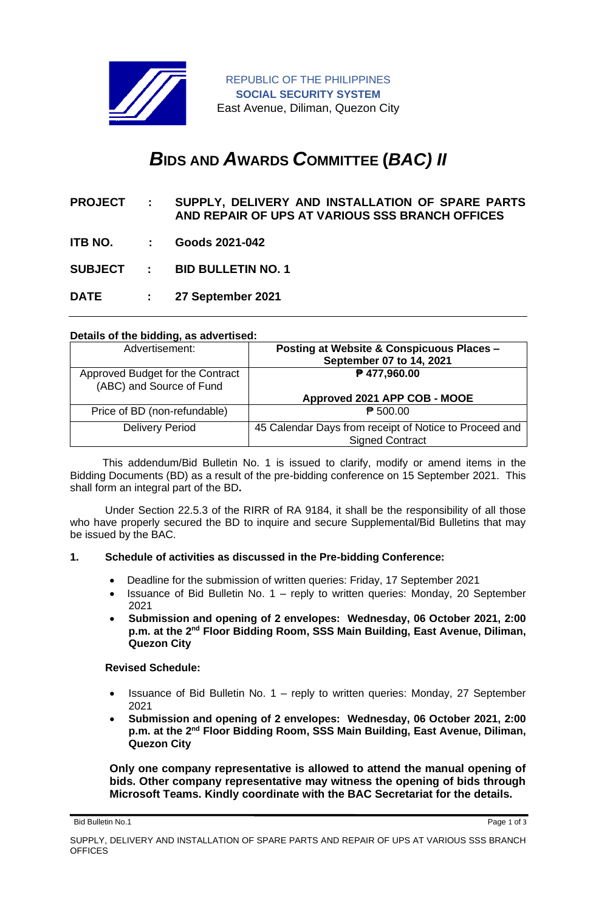

REPUBLIC OF THE PHILIPPINES **SOCIAL SECURITY SYSTEM** East Avenue, Diliman, Quezon City

# *B***IDS AND** *A***WARDS** *C***OMMITTEE (***BAC) II*

- **PROJECT : SUPPLY, DELIVERY AND INSTALLATION OF SPARE PARTS AND REPAIR OF UPS AT VARIOUS SSS BRANCH OFFICES**
- **ITB NO. : Goods 2021-042**

**SUBJECT : BID BULLETIN NO. 1**

**DATE : 27 September 2021**

## **Details of the bidding, as advertised:**

| Advertisement:                                               | Posting at Website & Conspicuous Places -<br>September 07 to 14, 2021 |
|--------------------------------------------------------------|-----------------------------------------------------------------------|
| Approved Budget for the Contract<br>(ABC) and Source of Fund | ₱ 477,960.00                                                          |
| Price of BD (non-refundable)                                 | Approved 2021 APP COB - MOOE<br>$\overline{P}$ 500.00                 |
| <b>Delivery Period</b>                                       | 45 Calendar Days from receipt of Notice to Proceed and                |
|                                                              | <b>Signed Contract</b>                                                |

 This addendum/Bid Bulletin No. 1 is issued to clarify, modify or amend items in the Bidding Documents (BD) as a result of the pre-bidding conference on 15 September 2021. This shall form an integral part of the BD**.**

Under Section 22.5.3 of the RIRR of RA 9184, it shall be the responsibility of all those who have properly secured the BD to inquire and secure Supplemental/Bid Bulletins that may be issued by the BAC.

#### **1. Schedule of activities as discussed in the Pre-bidding Conference:**

- Deadline for the submission of written queries: Friday, 17 September 2021
- Issuance of Bid Bulletin No. 1 reply to written queries: Monday, 20 September 2021
- **Submission and opening of 2 envelopes: Wednesday, 06 October 2021, 2:00**  p.m. at the 2<sup>nd</sup> Floor Bidding Room, SSS Main Building, East Avenue, Diliman, **Quezon City**

## **Revised Schedule:**

- Issuance of Bid Bulletin No. 1 reply to written queries: Monday, 27 September 2021
- **Submission and opening of 2 envelopes: Wednesday, 06 October 2021, 2:00**  p.m. at the 2<sup>nd</sup> Floor Bidding Room, SSS Main Building, East Avenue, Diliman, **Quezon City**

**Only one company representative is allowed to attend the manual opening of bids. Other company representative may witness the opening of bids through Microsoft Teams. Kindly coordinate with the BAC Secretariat for the details.**

Bid Bulletin No.1 Page 1 of 3

SUPPLY, DELIVERY AND INSTALLATION OF SPARE PARTS AND REPAIR OF UPS AT VARIOUS SSS BRANCH **OFFICES**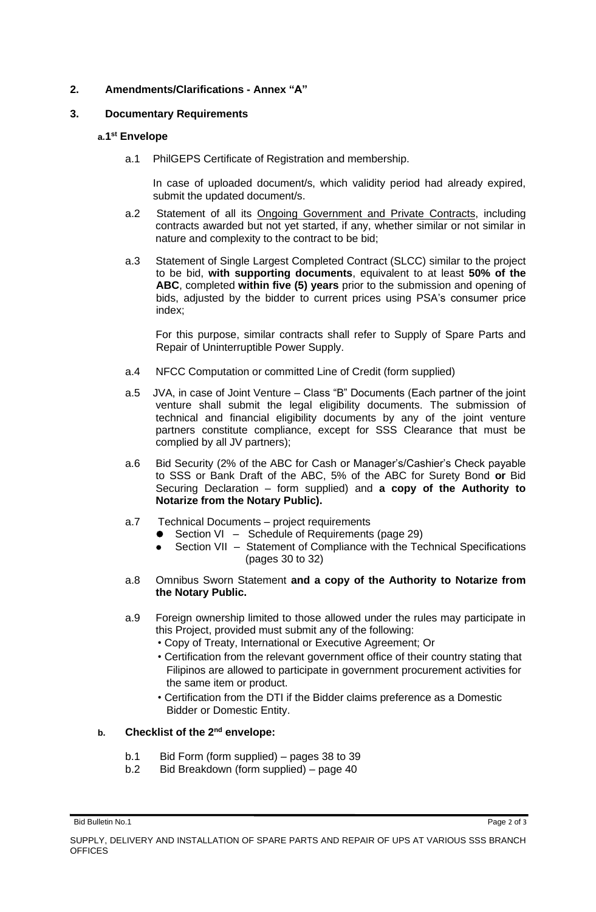## **2. Amendments/Clarifications - Annex "A"**

## **3. Documentary Requirements**

## **a.1 st Envelope**

a.1 PhilGEPS Certificate of Registration and membership.

In case of uploaded document/s, which validity period had already expired, submit the updated document/s.

- a.2 Statement of all its Ongoing Government and Private Contracts, including contracts awarded but not yet started, if any, whether similar or not similar in nature and complexity to the contract to be bid;
- a.3 Statement of Single Largest Completed Contract (SLCC) similar to the project to be bid, **with supporting documents**, equivalent to at least **50% of the ABC**, completed **within five (5) years** prior to the submission and opening of bids, adjusted by the bidder to current prices using PSA's consumer price index;

For this purpose, similar contracts shall refer to Supply of Spare Parts and Repair of Uninterruptible Power Supply.

- a.4 NFCC Computation or committed Line of Credit (form supplied)
- a.5 JVA, in case of Joint Venture Class "B" Documents (Each partner of the joint venture shall submit the legal eligibility documents. The submission of technical and financial eligibility documents by any of the joint venture partners constitute compliance, except for SSS Clearance that must be complied by all JV partners);
- a.6 Bid Security (2% of the ABC for Cash or Manager's/Cashier's Check payable to SSS or Bank Draft of the ABC, 5% of the ABC for Surety Bond **or** Bid Securing Declaration – form supplied) and **a copy of the Authority to Notarize from the Notary Public).**
- a.7 Technical Documents project requirements
	- Section VI Schedule of Requirements (page 29)
	- Section VII Statement of Compliance with the Technical Specifications (pages 30 to 32)
- a.8 Omnibus Sworn Statement **and a copy of the Authority to Notarize from the Notary Public.**
- a.9 Foreign ownership limited to those allowed under the rules may participate in this Project, provided must submit any of the following:
	- Copy of Treaty, International or Executive Agreement; Or
	- Certification from the relevant government office of their country stating that Filipinos are allowed to participate in government procurement activities for the same item or product.
	- Certification from the DTI if the Bidder claims preference as a Domestic Bidder or Domestic Entity.

## **b. Checklist of the 2nd envelope:**

- b.1 Bid Form (form supplied) pages 38 to 39
- b.2 Bid Breakdown (form supplied) page 40

Bid Bulletin No.1 Page 2 of 3